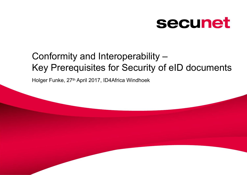# secunet

## Conformity and Interoperability – Key Prerequisites for Security of eID documents

Holger Funke, 27th April 2017, ID4Africa Windhoek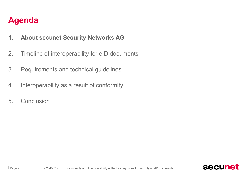- **1. About secunet Security Networks AG**
- 2. Timeline of interoperability for eID documents
- 3. Requirements and technical guidelines
- 4. Interoperability as a result of conformity
- 5. Conclusion

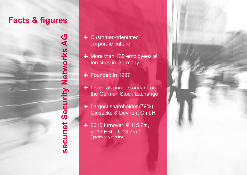### **Facts & figures**

**S ecunet**<u>(၇</u> **ecuyNetworksG**

- n 1 column layout for heavy text content content at each content of the state of the state of the state of the state of the state of the state of the state of the state of the state of the state of the state of the state o Layout without bottom line **A** corporate culture
	- ten sites in Germany **+** More than 430 employees at
	- Founded in 1997
	- **+** Listed as prime standard on
	- + Largest shareholder (79%): Giesecke & Devrient GmbH
	- 2016 turnover: € 115.7m, 2016 EBIT: € 13.7m.\* (\*preliminary results)

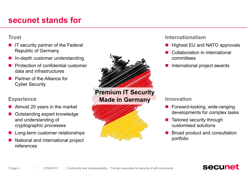### **secunet stands for**

#### **Trust**

- IT security partner of the Federal Republic of Germany
- In-depth customer understanding
- n Protection of confidential customer data and infrastructures
- n Partner of the Alliance for Cyber Security

#### **Experience**

- Almost 20 years in the market
- Outstanding expert knowledge and understanding of cryptographic processes
- Long-term customer relationships
- n National and international project references



**Premium IT Security Made in Germany**



#### **Internationalism**

- Highest EU and NATO approvals
- Collaboration in international committees
- International project awards

#### **Innovation**

- $\blacksquare$  Forward-looking, wide-ranging developments for complex tasks
- $\blacksquare$  Tailored security through customised solutions
- Broad product and consultation portfolio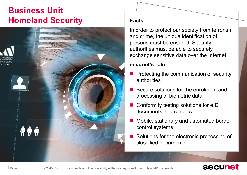### **Business Unit Homeland Security Facts**



In order to protect our society from terrorism and crime, the unique identification of persons must be ensured. Security authorities must be able to securely exchange sensitive data over the Internet.

#### **secunet's role**

- n Protecting the communication of security authorities
- Secure solutions for the enrolment and processing of biometric data
- Conformity testing solutions for eID documents and readers
- Mobile, stationary and automated border control systems
- Solutions for the electronic processing of classified documents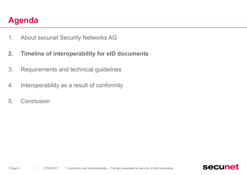- 1. About secunet Security Networks AG
- **2. Timeline of interoperability for eID documents**
- 3. Requirements and technical guidelines
- 4. Interoperability as a result of conformity
- 5. Conclusion

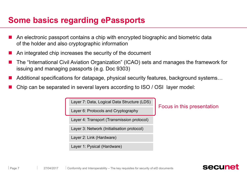### **Some basics regarding ePassports**

- An electronic passport contains a chip with encrypted biographic and biometric data of the holder and also cryptographic information
- An integrated chip increases the security of the document
- n The "International Civil Aviation Organization" (ICAO) sets and manages the framework for issuing and managing passports (e.g. Doc 9303)
- Additional specifications for datapage, physical security features, background systems...
- n Chip can be separated in several layers according to ISO / OSI layer model:

Layer 7: Data, Logical Data Structure (LDS)

Layer 6: Protocols and Cryptography

Layer 4: Transport (Transmission protocol)

Layer 3: Network (Initialisation protocol)

Layer 2: Link (Hardware)

Layer 1: Pysical (Hardware)

Focus in this presentation

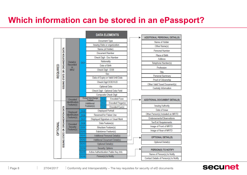### **Which information can be stored in an ePassport?**

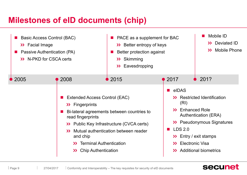### **Milestones of eID documents (chip)**

| Basic Access Control (BAC)<br>>> Facial Image<br>Passive Authentication (PA)<br>>> N-PKD for CSCA certs |                                                                                              | PACE as a supplement for BAC<br>>> Better entropy of keys<br>Better protection against<br>>> Skimming<br>Eavesdropping<br>$\geq$                                                                                                        |                                                                                  | Mobile ID<br>>> Deviated ID<br><b>Mobile Phone</b><br>$\rightarrow$                                                                                                               |
|---------------------------------------------------------------------------------------------------------|----------------------------------------------------------------------------------------------|-----------------------------------------------------------------------------------------------------------------------------------------------------------------------------------------------------------------------------------------|----------------------------------------------------------------------------------|-----------------------------------------------------------------------------------------------------------------------------------------------------------------------------------|
| $\bullet$ 2005                                                                                          | 2008                                                                                         | $\bullet$ 2015                                                                                                                                                                                                                          | $\bullet$ 2017                                                                   | 201?<br>$\bullet$                                                                                                                                                                 |
|                                                                                                         | >> Fingerprints<br>read fingerprints<br>$\rightarrow$<br>and chip<br>$\mathcal{P}$<br>$\sum$ | <b>Extended Access Control (EAC)</b><br>Bi-lateral agreements between countries to<br>>> Public Key Infrastructure (CVCA certs)<br>Mutual authentication between reader<br><b>Terminal Authentication</b><br><b>Chip Authentication</b> | eIDAS<br>a and<br>(RI)<br>>> Enhanced Role<br><b>LDS 2.0</b><br>$\sum$<br>$\sum$ | >> Restricted Identification<br><b>Authentication (ERA)</b><br>>> Pseudonymous Signatures<br>$\sum$ Entry / exit stamps<br><b>Electronic Visa</b><br><b>Additional biometrics</b> |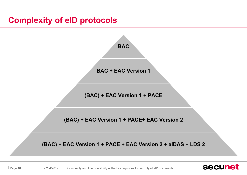### **Complexity of eID protocols**

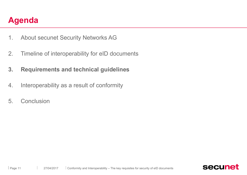- 1. About secunet Security Networks AG
- 2. Timeline of interoperability for eID documents
- **3. Requirements and technical guidelines**
- 4. Interoperability as a result of conformity
- 5. Conclusion

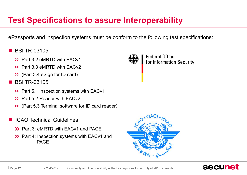### **Test Specifications to assure Interoperability**

ePassports and inspection systems must be conform to the following test specifications:

- n BSI TR-03105
	- >> Part 3.2 eMRTD with EACv1
	- **>> Part 3.3 eMRTD with FACv2**
	- $\triangleright$  (Part 3.4 eSign for ID card)
- n BSI TR-03105
	- **>>** Part 5.1 Inspection systems with EACv1
	- **>> Part 5.2 Reader with FACv2**
	- (Part 5.3 Terminal software for ID card reader)
- **n** ICAO Technical Guidelines
	- **33** Part 3: eMRTD with FACv1 and PACF
	- >> Part 4: Inspection systems with EACv1 and PACE



**Federal Office** for Information Security



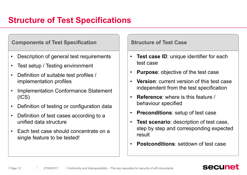### **Structure of Test Specifications**

#### **Components of Test Specification <b>Structure of Test Case**

- Description of general test requirements  $\|\cdot\|$
- Test setup / Testing environment
- Definition of suitable test profiles /  $\vert \cdot \vert$ implementation profiles
- Implementation Conformance Statement (ICS)
- Definition of testing or configuration data
- Definition of test cases according to a  $\vert \cdot \vert$ unified data structure
- Each test case should concentrate on a single feature to be tested!

- **Test case ID**: unique identifier for each test case
- **Purpose**: objective of the test case
- **Version**: current version of this test case independent from the test specification
- **Reference**: where is this feature / behaviour specified
- **Preconditions**: setup of test case
- **Test scenario**: description of test case, step by step and corresponding expected result
- **Postconditions**: setdown of test case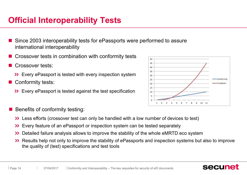### **Official Interoperability Tests**

- Since 2003 interoperability tests for ePassports were performed to assure international interoperability
- Crossover tests in combination with conformity tests  $\overline{\mathbb{R}}$
- Crossover tests:
	- **>>** Every ePassport is tested with every inspection system  $\frac{1}{30}$
- Conformity tests:
	- **Every ePassport is tested against the test specification**



- Benefits of conformity testing:
	- Less efforts (crossover test can only be handled with a low number of devices to test)
	- Every feature of an ePassport or inspection system can be tested separately
	- Detailed failure analysis allows to improve the stability of the whole eMRTD eco system  $\rightarrow$
	- Results help not only to improve the stability of ePassports and inspection systems but also to improve the quality of (test) specifications and test tools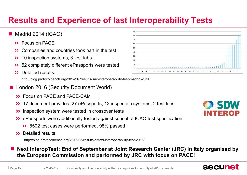### **Results and Experience of last Interoperability Tests**

#### $\blacksquare$  Madrid 2014 (ICAO)

- **>>** Focus on PACE
- Companies and countries took part in the test  $\begin{bmatrix} 1 & 1 \\ 0 & 0 \end{bmatrix}$  $\rightarrow$
- 10 inspection systems, 3 test labs  $\rightarrow$
- 52 completely different ePassports were tested  $\frac{10}{3}$  $\rightarrow$
- Detailed results:  $\mathbf{\Sigma}$

http://blog.protocolbench.org/2014/07/results-sac-interoperability-test-madrid-2014/

- London 2016 (Security Document World)
	- **>> Focus on PACE and PACE-CAM**
	- 17 document provides, 27 ePassports, 12 inspection systems, 2 test labs **19 SEDIM**  $\sum$
	- Inspection system were tested in crossover tests  $\sum$
	- ePassports were additionally tested against subset of ICAO test specification
		- 8502 test cases were performed, 98% passed
	- **>>** Detailed results:

http://blog.protocolbench.org/2016/05/results-emrtd-interoperability-test-2016/

#### n **Next InteropTest: End of September at Joint Research Center (JRC) in Italy organised by the European Commission and performed by JRC with focus on PACE!**



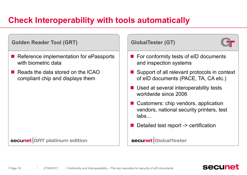### **Check Interoperability with tools automatically**

#### **Golden Reader Tool (GRT)**

- Reference implementation for ePassports with biometric data
- $\blacksquare$  Reads the data stored on the ICAO compliant chip and displays them

#### secunet GRT platinum edition

| <b>GlobalTester (GT)</b>                                                                            |  |
|-----------------------------------------------------------------------------------------------------|--|
| $\blacksquare$ For conformity tests of eID documents<br>and inspection systems                      |  |
| $\blacksquare$ Support of all relevant protocols in context<br>of elD documents (PACE, TA, CA etc.) |  |
| ■ Used at several interoperability tests<br>worldwide since 2006                                    |  |
| ■ Customers: chip vendors, application<br>vendors, national security printers, test<br>labs         |  |
| Detailed test report -> certification                                                               |  |
| secunet<br>GlobalTester                                                                             |  |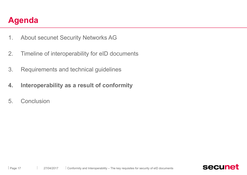- 1. About secunet Security Networks AG
- 2. Timeline of interoperability for eID documents
- 3. Requirements and technical guidelines
- **4.** Interoperability as a result of conformity
- 5. Conclusion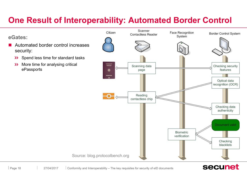### **One Result of Interoperability: Automated Border Control**

#### **eGates:**

- Automated border control increases security:
	- Spend less time for standard tasks  $\rightarrow$
	- More time for analysing critical  $\rightarrow$ ePassports

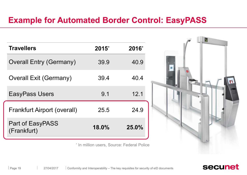### **Example for Automated Border Control: EasyPASS**

| <b>Travellers</b>                  | $2015^*$ | 2016* |
|------------------------------------|----------|-------|
| <b>Overall Entry (Germany)</b>     | 39.9     | 40.9  |
| <b>Overall Exit (Germany)</b>      | 39.4     | 40.4  |
| <b>EasyPass Users</b>              | 9.1      | 12.1  |
| <b>Frankfurt Airport (overall)</b> | 25.5     | 24.9  |
| Part of EasyPASS<br>(Frankfurt)    | 18.0%    | 25.0% |

\* In million users, Source: Federal Police

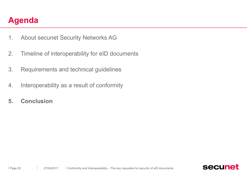- 1. About secunet Security Networks AG
- 2. Timeline of interoperability for eID documents
- 3. Requirements and technical guidelines
- 4. Interoperability as a result of conformity
- **5. Conclusion**

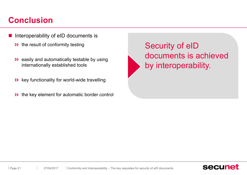## **Conclusion**

- Interoperability of eID documents is
	- >> the result of conformity testing
	- >> easily and automatically testable by using internationally established tools
	- >> key functionality for world-wide travelling
	- >> the key element for automatic border control